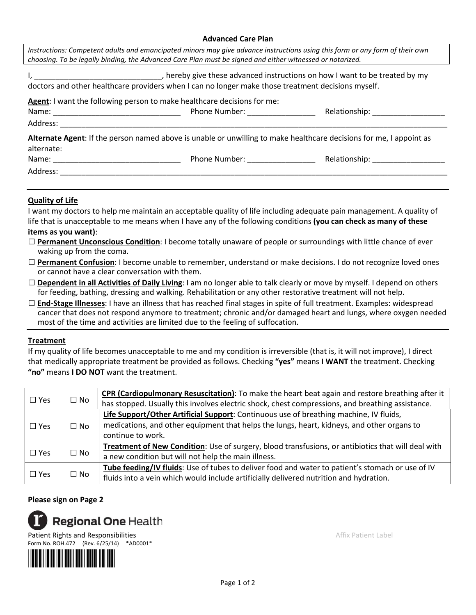#### **Advanced Care Plan**

|                                                                                                                | choosing. To be legally binding, the Advanced Care Plan must be signed and either witnessed or notarized. | Instructions: Competent adults and emancipated minors may give advance instructions using this form or any form of their own |
|----------------------------------------------------------------------------------------------------------------|-----------------------------------------------------------------------------------------------------------|------------------------------------------------------------------------------------------------------------------------------|
|                                                                                                                | doctors and other healthcare providers when I can no longer make those treatment decisions myself.        | I, __________________________________, hereby give these advanced instructions on how I want to be treated by my             |
|                                                                                                                | Agent: I want the following person to make healthcare decisions for me:                                   |                                                                                                                              |
|                                                                                                                |                                                                                                           |                                                                                                                              |
|                                                                                                                |                                                                                                           |                                                                                                                              |
|                                                                                                                |                                                                                                           | Alternate Agent: If the person named above is unable or unwilling to make healthcare decisions for me, I appoint as          |
| alternate:                                                                                                     |                                                                                                           |                                                                                                                              |
|                                                                                                                | Phone Number: __________________                                                                          | Relationship: ____________________                                                                                           |
| Address: Andreas Address and Address and Address and Address and Address and Address and Address and Address a |                                                                                                           |                                                                                                                              |

## **Quality of Life**

I want my doctors to help me maintain an acceptable quality of life including adequate pain management. A quality of life that is unacceptable to me means when I have any of the following conditions **(you can check as many of these items as you want)**:

- □ **Permanent Unconscious Condition**: I become totally unaware of people or surroundings with little chance of ever waking up from the coma.
- □ **Permanent Confusion**: I become unable to remember, understand or make decisions. I do not recognize loved ones or cannot have a clear conversation with them.
- □ **Dependent in all Activities of Daily Living**: I am no longer able to talk clearly or move by myself. I depend on others for feeding, bathing, dressing and walking. Rehabilitation or any other restorative treatment will not help.
- □ **End-Stage Illnesses**: I have an illness that has reached final stages in spite of full treatment. Examples: widespread cancer that does not respond anymore to treatment; chronic and/or damaged heart and lungs, where oxygen needed most of the time and activities are limited due to the feeling of suffocation.

### **Treatment**

If my quality of life becomes unacceptable to me and my condition is irreversible (that is, it will not improve), I direct that medically appropriate treatment be provided as follows. Checking **"yes"** means **I WANT** the treatment. Checking **"no"** means **I DO NOT** want the treatment.

|            |           | CPR (Cardiopulmonary Resuscitation): To make the heart beat again and restore breathing after it   |
|------------|-----------|----------------------------------------------------------------------------------------------------|
| $\Box$ Yes | $\Box$ No | has stopped. Usually this involves electric shock, chest compressions, and breathing assistance.   |
|            |           | Life Support/Other Artificial Support: Continuous use of breathing machine, IV fluids,             |
| $\Box$ Yes | $\Box$ No | medications, and other equipment that helps the lungs, heart, kidneys, and other organs to         |
|            |           | continue to work.                                                                                  |
| $\Box$ Yes | $\Box$ No | Treatment of New Condition: Use of surgery, blood transfusions, or antibiotics that will deal with |
|            |           | a new condition but will not help the main illness.                                                |
| $\Box$ Yes | $\Box$ No | Tube feeding/IV fluids: Use of tubes to deliver food and water to patient's stomach or use of IV   |
|            |           | fluids into a vein which would include artificially delivered nutrition and hydration.             |

## **Please sign on Page 2**



Form No. ROH.472 (Rev. 6/25/14) \*AD0001\*